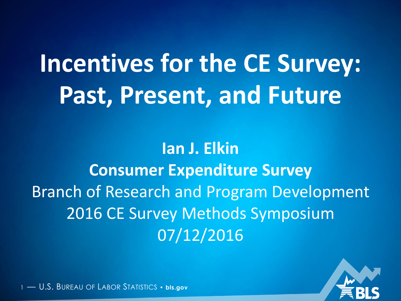# **Incentives for the CE Survey: Past, Present, and Future**

**Ian J. Elkin Consumer Expenditure Survey** Branch of Research and Program Development 2016 CE Survey Methods Symposium 07/12/2016

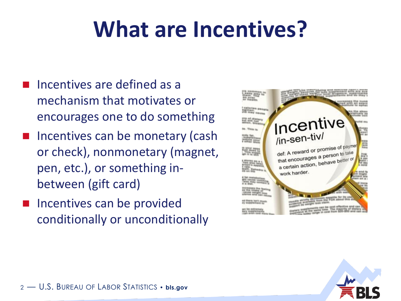## **What are Incentives?**

- Incentives are defined as a mechanism that motivates or encourages one to do something
- Incentives can be monetary (cash or check), nonmonetary (magnet, pen, etc.), or something inbetween (gift card)
- Incentives can be provided conditionally or unconditionally



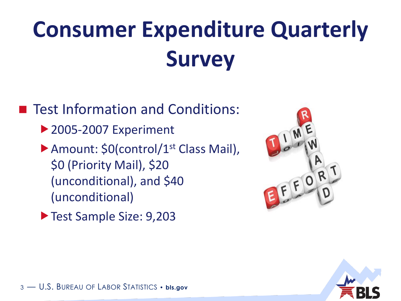# **Consumer Expenditure Quarterly Survey**

■ Test Information and Conditions: ▶ 2005-2007 Experiment ▶ Amount: \$0(control/1<sup>st</sup> Class Mail), \$0 (Priority Mail), \$20 (unconditional), and \$40 (unconditional)



▶ Test Sample Size: 9,203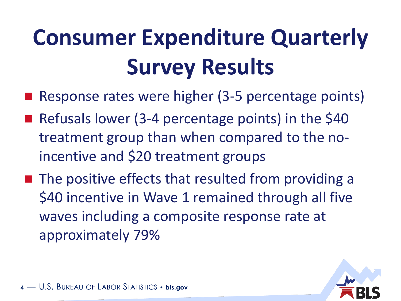# **Consumer Expenditure Quarterly Survey Results**

- Response rates were higher (3-5 percentage points)
- Refusals lower (3-4 percentage points) in the \$40 treatment group than when compared to the noincentive and \$20 treatment groups
- $\blacksquare$  The positive effects that resulted from providing a \$40 incentive in Wave 1 remained through all five waves including a composite response rate at approximately 79%

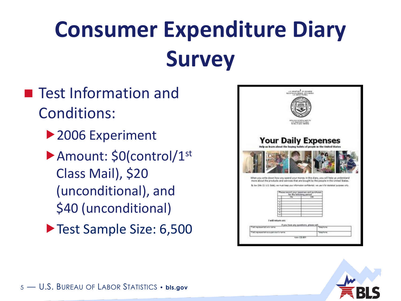# **Consumer Expenditure Diary Survey**

- **Test Information and** Conditions:
	- ▶ 2006 Experiment
	- ▶ Amount: \$0(control/1<sup>st</sup> Class Mail), \$20 (unconditional), and \$40 (unconditional)
	- Test Sample Size: 6,500

| kéng saa anadny agam tu<br>US Dearners of appr<br><b>Your Daily Expenses</b><br>Help us learn about the buying habits of people in the United States<br>When you write down how you spend your money in this diary, you will help us understand<br>more about the products and services that are bought by the people in the United States.<br>By Saw 20th; 13, U.S. Code), we must keep your information confidential: we use it for statistical purposes onto |
|-----------------------------------------------------------------------------------------------------------------------------------------------------------------------------------------------------------------------------------------------------------------------------------------------------------------------------------------------------------------------------------------------------------------------------------------------------------------|
|                                                                                                                                                                                                                                                                                                                                                                                                                                                                 |
|                                                                                                                                                                                                                                                                                                                                                                                                                                                                 |
|                                                                                                                                                                                                                                                                                                                                                                                                                                                                 |
|                                                                                                                                                                                                                                                                                                                                                                                                                                                                 |
| Please record your expenses and purchases<br>for the following period<br>Yas<br>T#<br>τ<br>٧<br>7<br>Y<br>r                                                                                                                                                                                                                                                                                                                                                     |
| ٠<br>I will return on:                                                                                                                                                                                                                                                                                                                                                                                                                                          |
| If you have any questions, please call<br>Fall surpristing fame<br>TOWNER<br>Fed no early in superior's terms<br>Telephone<br>FURN CE-BIT                                                                                                                                                                                                                                                                                                                       |

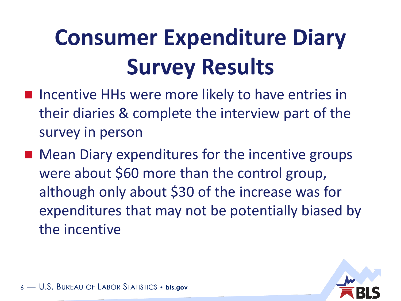# **Consumer Expenditure Diary Survey Results**

- **Incentive HHs were more likely to have entries in** their diaries & complete the interview part of the survey in person
- Mean Diary expenditures for the incentive groups were about \$60 more than the control group, although only about \$30 of the increase was for expenditures that may not be potentially biased by the incentive

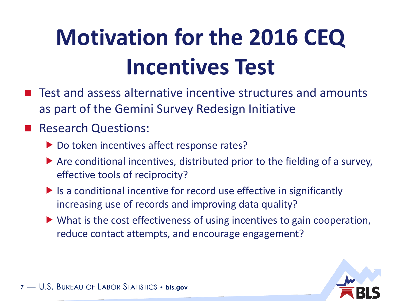# **Motivation for the 2016 CEQ Incentives Test**

 Test and assess alternative incentive structures and amounts as part of the Gemini Survey Redesign Initiative

#### Research Questions:

- Do token incentives affect response rates?
- $\triangleright$  Are conditional incentives, distributed prior to the fielding of a survey, effective tools of reciprocity?
- $\blacktriangleright$  Is a conditional incentive for record use effective in significantly increasing use of records and improving data quality?
- ▶ What is the cost effectiveness of using incentives to gain cooperation, reduce contact attempts, and encourage engagement?

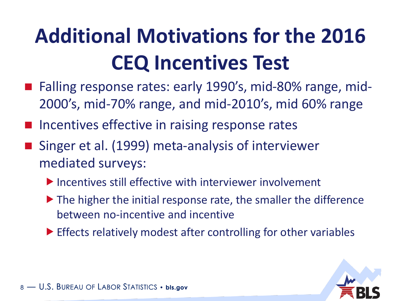## **Additional Motivations for the 2016 CEQ Incentives Test**

- Falling response rates: early 1990's, mid-80% range, mid-2000's, mid-70% range, and mid-2010's, mid 60% range
- Incentives effective in raising response rates
- Singer et al. (1999) meta-analysis of interviewer mediated surveys:
	- $\blacktriangleright$  Incentives still effective with interviewer involvement
	- ▶ The higher the initial response rate, the smaller the difference between no-incentive and incentive
	- Effects relatively modest after controlling for other variables

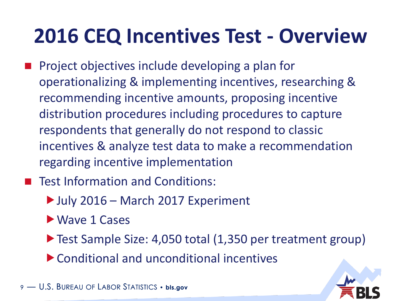#### **2016 CEQ Incentives Test - Overview**

- Project objectives include developing a plan for operationalizing & implementing incentives, researching & recommending incentive amounts, proposing incentive distribution procedures including procedures to capture respondents that generally do not respond to classic incentives & analyze test data to make a recommendation regarding incentive implementation
- Test Information and Conditions:
	- ▶ July 2016 March 2017 Experiment
	- ▶ Wave 1 Cases
	- ▶ Test Sample Size: 4,050 total (1,350 per treatment group)
	- Conditional and unconditional incentives

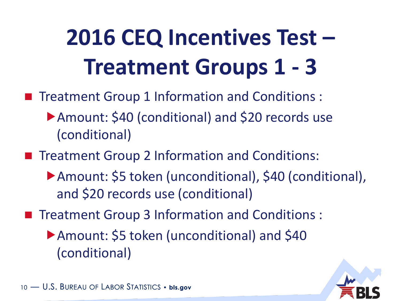# **2016 CEQ Incentives Test – Treatment Groups 1 - 3**

- Treatment Group 1 Information and Conditions :
	- ▶ Amount: \$40 (conditional) and \$20 records use (conditional)
- **Theatment Group 2 Information and Conditions:** 
	- Amount: \$5 token (unconditional), \$40 (conditional), and \$20 records use (conditional)
- **Theatment Group 3 Information and Conditions:** 
	- Amount: \$5 token (unconditional) and \$40 (conditional)

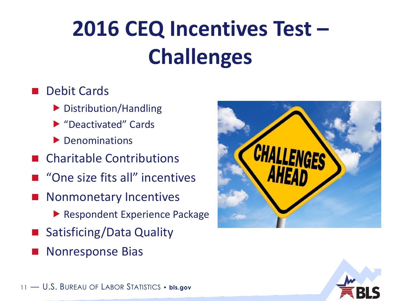# **2016 CEQ Incentives Test – Challenges**

#### Debit Cards

- Distribution/Handling
- ▶ "Deactivated" Cards
- **Denominations**
- Charitable Contributions
- "One size fits all" incentives
- Nonmonetary Incentives
	- ▶ Respondent Experience Package
- Satisficing/Data Quality
- Nonresponse Bias



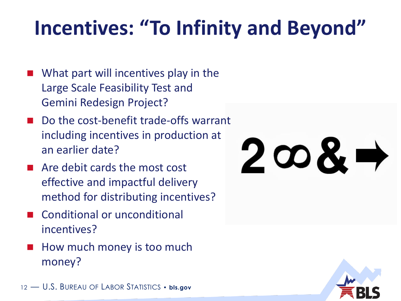#### **Incentives: "To Infinity and Beyond"**

- What part will incentives play in the Large Scale Feasibility Test and Gemini Redesign Project?
- Do the cost-benefit trade-offs warrant including incentives in production at an earlier date?
- Are debit cards the most cost effective and impactful delivery method for distributing incentives?
- Conditional or unconditional incentives?
- How much money is too much money?

12 — U.S. BUREAU OF LABOR STATISTICS • **bls.gov**

# $2 \infty$ & $\rightarrow$